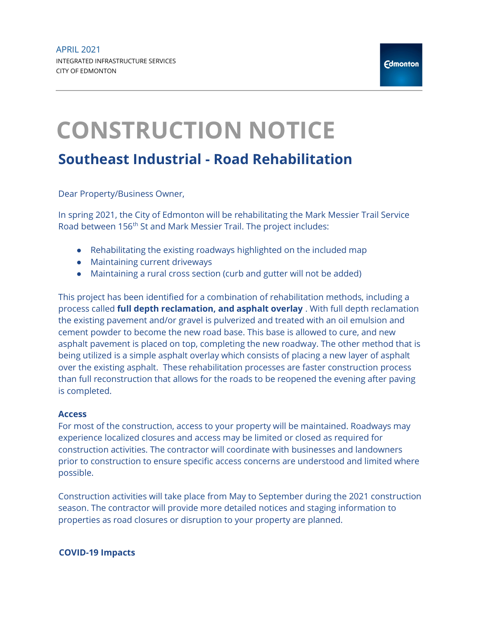## CONSTRUCTION NOTICE Southeast Industrial - Road Rehabilitation

Dear Property/Business Owner,

In spring 2021, the City of Edmonton will be rehabilitating the Mark Messier Trail Service Road between 156<sup>th</sup> St and Mark Messier Trail. The project includes:

- Rehabilitating the existing roadways highlighted on the included map
- Maintaining current driveways
- Maintaining a rural cross section (curb and gutter will not be added)

This project has been identified for a combination of rehabilitation methods, including a process called full depth reclamation, and asphalt overlay . With full depth reclamation the existing pavement and/or gravel is pulverized and treated with an oil emulsion and cement powder to become the new road base. This base is allowed to cure, and new asphalt pavement is placed on top, completing the new roadway. The other method that is being utilized is a simple asphalt overlay which consists of placing a new layer of asphalt over the existing asphalt. These rehabilitation processes are faster construction process than full reconstruction that allows for the roads to be reopened the evening after paving is completed.

## Access

For most of the construction, access to your property will be maintained. Roadways may experience localized closures and access may be limited or closed as required for construction activities. The contractor will coordinate with businesses and landowners prior to construction to ensure specific access concerns are understood and limited where possible.

Construction activities will take place from May to September during the 2021 construction season. The contractor will provide more detailed notices and staging information to properties as road closures or disruption to your property are planned.

## COVID-19 Impacts